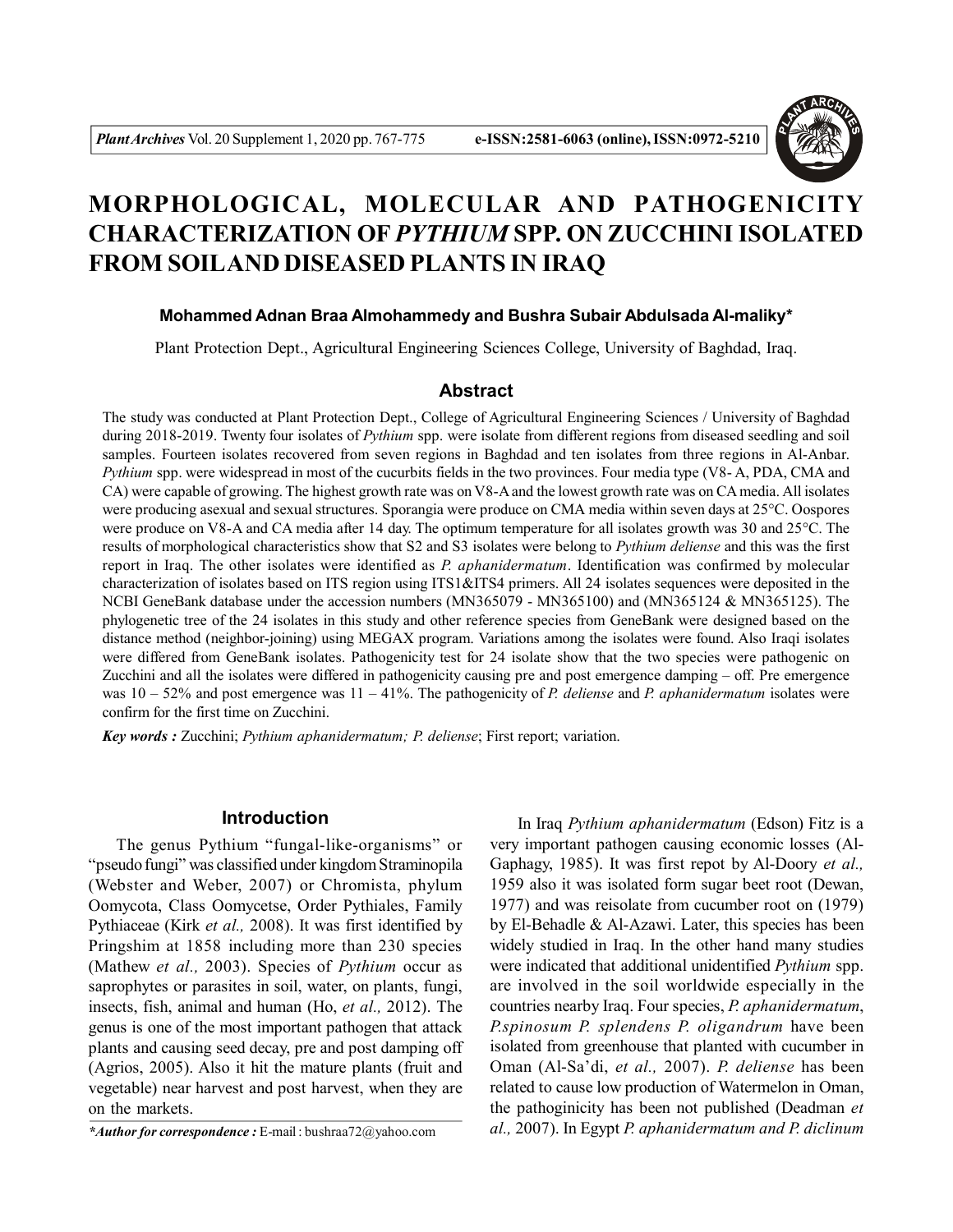

# **MORPHOLOGICAL, MOLECULAR AND PATHOGENICITY CHARACTERIZATION OF** *PYTHIUM* **SPP. ON ZUCCHINI ISOLATED FROM SOILAND DISEASED PLANTS IN IRAQ**

# **Mohammed Adnan Braa Almohammedy and Bushra Subair Abdulsada Al-maliky\***

Plant Protection Dept., Agricultural Engineering Sciences College, University of Baghdad, Iraq.

#### **Abstract**

The study was conducted at Plant Protection Dept., College of Agricultural Engineering Sciences / University of Baghdad during 2018-2019. Twenty four isolates of *Pythium* spp. were isolate from different regions from diseased seedling and soil samples. Fourteen isolates recovered from seven regions in Baghdad and ten isolates from three regions in Al-Anbar. *Pythium* spp. were widespread in most of the cucurbits fields in the two provinces. Four media type (V8-A, PDA, CMA and CA) were capable of growing. The highest growth rate was on V8-A and the lowest growth rate was on CA media. All isolates were producing asexual and sexual structures. Sporangia were produce on CMA media within seven days at 25°C. Oospores were produce on V8-A and CA media after 14 day. The optimum temperature for all isolates growth was 30 and 25°C. The results of morphological characteristics show that S2 and S3 isolates were belong to *Pythium deliense* and this was the first report in Iraq. The other isolates were identified as *P. aphanidermatum*. Identification was confirmed by molecular characterization of isolates based on ITS region using ITS1&ITS4 primers. All 24 isolates sequences were deposited in the NCBI GeneBank database under the accession numbers (MN365079 - MN365100) and (MN365124 & MN365125). The phylogenetic tree of the 24 isolates in this study and other reference species from GeneBank were designed based on the distance method (neighbor-joining) using MEGAX program. Variations among the isolates were found. Also Iraqi isolates were differed from GeneBank isolates. Pathogenicity test for 24 isolate show that the two species were pathogenic on Zucchini and all the isolates were differed in pathogenicity causing pre and post emergence damping – off. Pre emergence was 10 – 52% and post emergence was 11 – 41%. The pathogenicity of *P. deliense* and *P. aphanidermatum* isolates were confirm for the first time on Zucchini.

*Key words :* Zucchini; *Pythium aphanidermatum; P. deliense*; First report; variation.

# **Introduction**

The genus Pythium "fungal-like-organisms" or "pseudo fungi" was classified under kingdom Straminopila (Webster and Weber, 2007) or Chromista, phylum Oomycota, Class Oomycetse, Order Pythiales, Family Pythiaceae (Kirk *et al.,* 2008). It was first identified by Pringshim at 1858 including more than 230 species (Mathew *et al.,* 2003). Species of *Pythium* occur as saprophytes or parasites in soil, water, on plants, fungi, insects, fish, animal and human (Ho, *et al.,* 2012). The genus is one of the most important pathogen that attack plants and causing seed decay, pre and post damping off (Agrios, 2005). Also it hit the mature plants (fruit and vegetable) near harvest and post harvest, when they are on the markets.

In Iraq *Pythium aphanidermatum* (Edson) Fitz is a very important pathogen causing economic losses (Al-Gaphagy, 1985). It was first repot by Al-Doory *et al.,* 1959 also it was isolated form sugar beet root (Dewan, 1977) and was reisolate from cucumber root on (1979) by El-Behadle & Al-Azawi. Later, this species has been widely studied in Iraq. In the other hand many studies were indicated that additional unidentified *Pythium* spp. are involved in the soil worldwide especially in the countries nearby Iraq. Four species, *P. aphanidermatum*, *P.spinosum P. splendens P. oligandrum* have been isolated from greenhouse that planted with cucumber in Oman (Al-Sa'di, *et al.,* 2007). *P. deliense* has been related to cause low production of Watermelon in Oman, the pathoginicity has been not published (Deadman *et al.,* 2007). In Egypt *P. aphanidermatum and P. diclinum*

*<sup>\*</sup>Author for correspondence :* E-mail : bushraa72@yahoo.com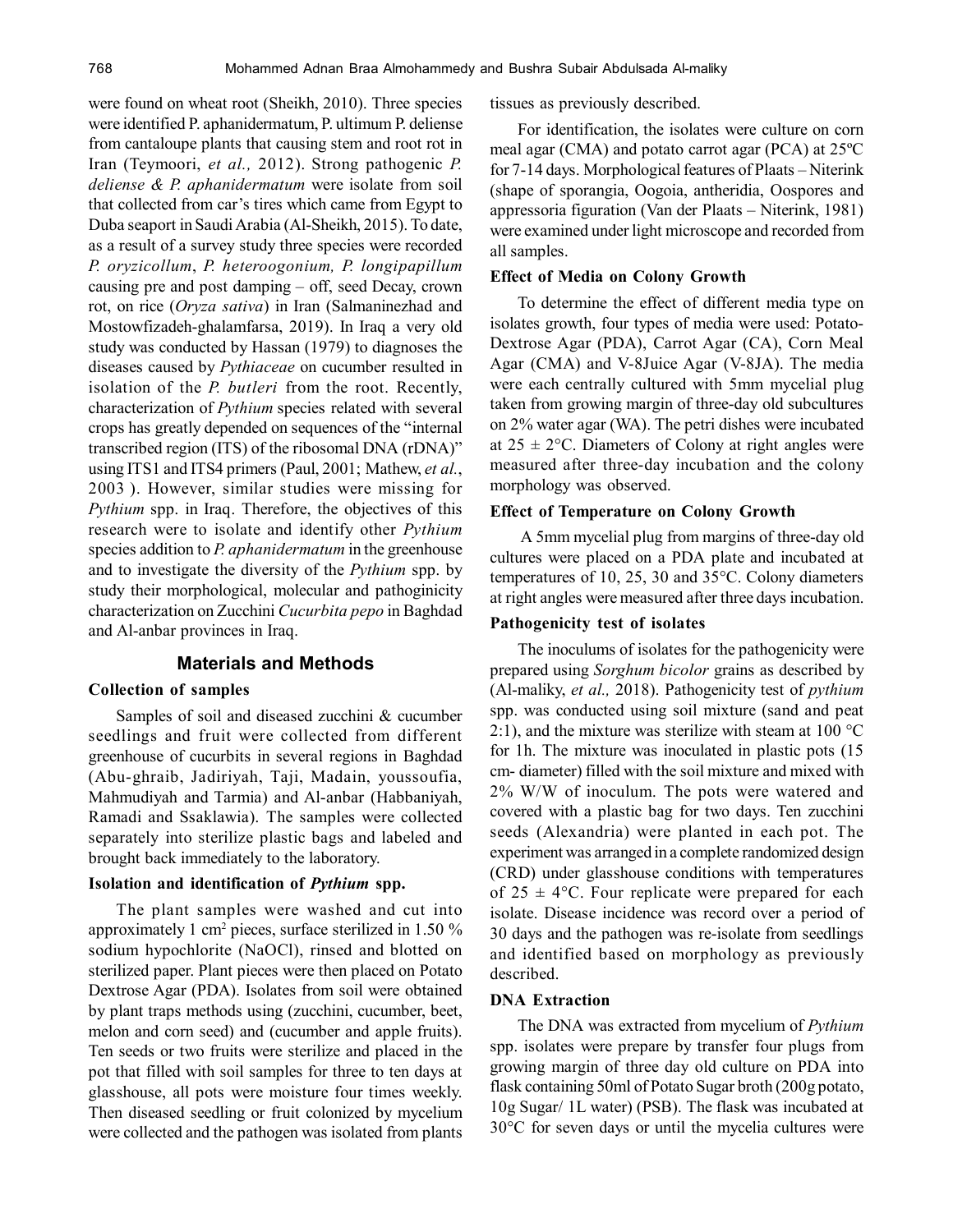were found on wheat root (Sheikh, 2010). Three species were identified P. aphanidermatum, P. ultimum P. deliense from cantaloupe plants that causing stem and root rot in Iran (Teymoori, *et al.,* 2012). Strong pathogenic *P. deliense & P. aphanidermatum* were isolate from soil that collected from car's tires which came from Egypt to Duba seaport in Saudi Arabia (Al-Sheikh, 2015). To date, as a result of a survey study three species were recorded *P. oryzicollum*, *P. heteroogonium, P. longipapillum* causing pre and post damping – off, seed Decay, crown rot, on rice (*Oryza sativa*) in Iran (Salmaninezhad and Mostowfizadeh-ghalamfarsa, 2019). In Iraq a very old study was conducted by Hassan (1979) to diagnoses the diseases caused by *Pythiaceae* on cucumber resulted in isolation of the *P. butleri* from the root. Recently, characterization of *Pythium* species related with several crops has greatly depended on sequences of the "internal transcribed region (ITS) of the ribosomal DNA (rDNA)" using ITS1 and ITS4 primers (Paul, 2001; Mathew, *et al.*, 2003 ). However, similar studies were missing for *Pythium* spp. in Iraq. Therefore, the objectives of this research were to isolate and identify other *Pythium* species addition to *P. aphanidermatum* in the greenhouse and to investigate the diversity of the *Pythium* spp. by study their morphological, molecular and pathoginicity characterization on Zucchini *Cucurbita pepo* in Baghdad and Al-anbar provinces in Iraq.

# **Materials and Methods**

#### **Collection of samples**

Samples of soil and diseased zucchini & cucumber seedlings and fruit were collected from different greenhouse of cucurbits in several regions in Baghdad (Abu-ghraib, Jadiriyah, Taji, Madain, youssoufia, Mahmudiyah and Tarmia) and Al-anbar (Habbaniyah, Ramadi and Ssaklawia). The samples were collected separately into sterilize plastic bags and labeled and brought back immediately to the laboratory.

#### **Isolation and identification of** *Pythium* **spp.**

The plant samples were washed and cut into approximately 1 cm<sup>2</sup> pieces, surface sterilized in 1.50 % sodium hypochlorite (NaOCl), rinsed and blotted on sterilized paper. Plant pieces were then placed on Potato Dextrose Agar (PDA). Isolates from soil were obtained by plant traps methods using (zucchini, cucumber, beet, melon and corn seed) and (cucumber and apple fruits). Ten seeds or two fruits were sterilize and placed in the pot that filled with soil samples for three to ten days at glasshouse, all pots were moisture four times weekly. Then diseased seedling or fruit colonized by mycelium were collected and the pathogen was isolated from plants tissues as previously described.

For identification, the isolates were culture on corn meal agar (CMA) and potato carrot agar (PCA) at 25ºC for 7-14 days. Morphological features of Plaats – Niterink (shape of sporangia, Oogoia, antheridia, Oospores and appressoria figuration (Van der Plaats – Niterink, 1981) were examined under light microscope and recorded from all samples.

#### **Effect of Media on Colony Growth**

To determine the effect of different media type on isolates growth, four types of media were used: Potato-Dextrose Agar (PDA), Carrot Agar (CA), Corn Meal Agar (CMA) and V-8Juice Agar (V-8JA). The media were each centrally cultured with 5mm mycelial plug taken from growing margin of three-day old subcultures on 2% water agar (WA). The petri dishes were incubated at  $25 \pm 2$ °C. Diameters of Colony at right angles were measured after three-day incubation and the colony morphology was observed.

#### **Effect of Temperature on Colony Growth**

 A 5mm mycelial plug from margins of three-day old cultures were placed on a PDA plate and incubated at temperatures of 10, 25, 30 and 35°C. Colony diameters at right angles were measured after three days incubation.

#### **Pathogenicity test of isolates**

The inoculums of isolates for the pathogenicity were prepared using *Sorghum bicolor* grains as described by (Al-maliky, *et al.,* 2018). Pathogenicity test of *pythium* spp. was conducted using soil mixture (sand and peat 2:1), and the mixture was sterilize with steam at  $100^{\circ}$ C for 1h. The mixture was inoculated in plastic pots (15 cm- diameter) filled with the soil mixture and mixed with 2% W/W of inoculum. The pots were watered and covered with a plastic bag for two days. Ten zucchini seeds (Alexandria) were planted in each pot. The experiment was arranged in a complete randomized design (CRD) under glasshouse conditions with temperatures of  $25 \pm 4$ °C. Four replicate were prepared for each isolate. Disease incidence was record over a period of 30 days and the pathogen was re-isolate from seedlings and identified based on morphology as previously described.

#### **DNA Extraction**

The DNA was extracted from mycelium of *Pythium* spp. isolates were prepare by transfer four plugs from growing margin of three day old culture on PDA into flask containing 50ml of Potato Sugar broth (200g potato, 10g Sugar/ 1L water) (PSB). The flask was incubated at 30°C for seven days or until the mycelia cultures were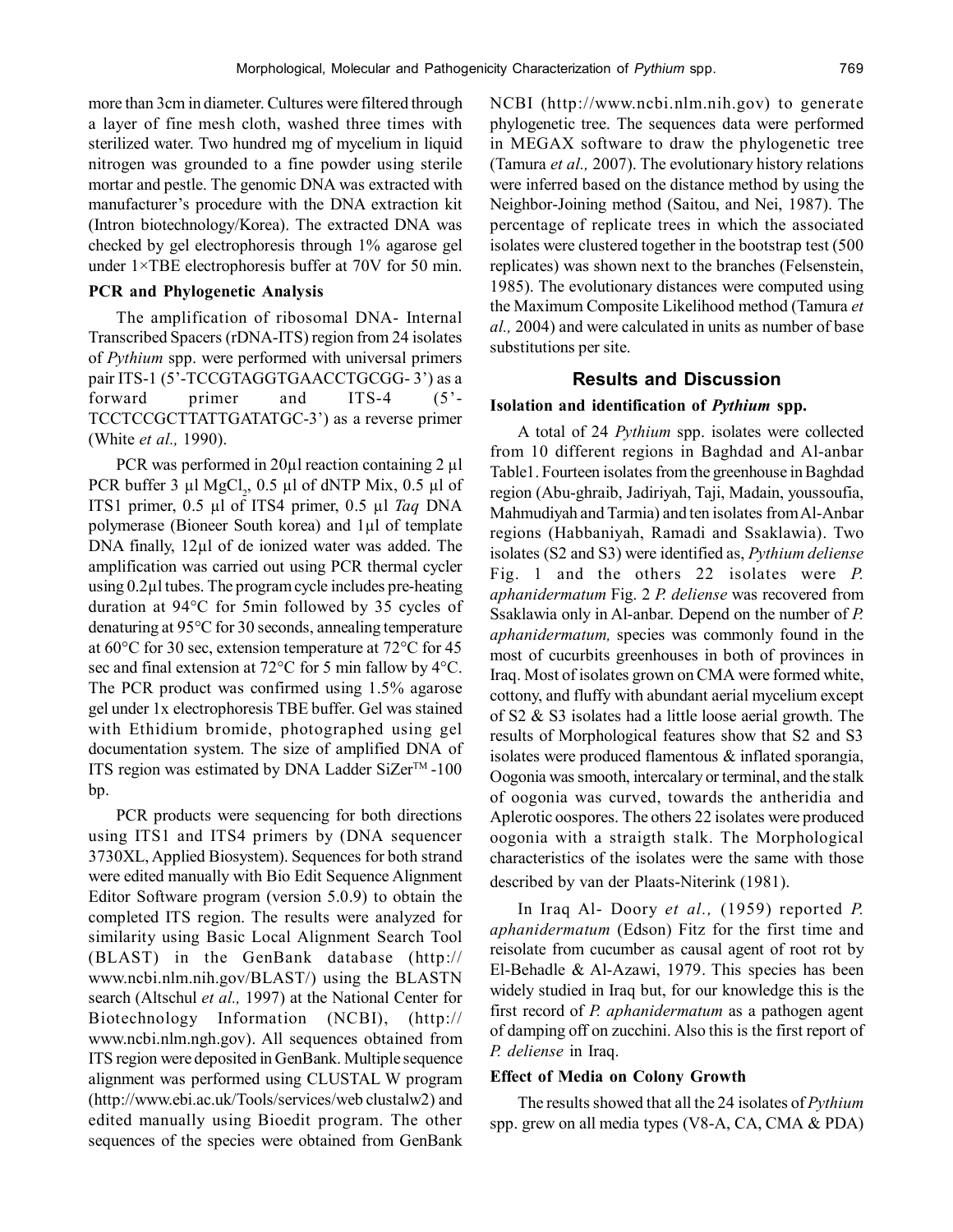more than 3cm in diameter. Cultures were filtered through a layer of fine mesh cloth, washed three times with sterilized water. Two hundred mg of mycelium in liquid nitrogen was grounded to a fine powder using sterile mortar and pestle. The genomic DNA was extracted with manufacturer's procedure with the DNA extraction kit (Intron biotechnology/Korea). The extracted DNA was checked by gel electrophoresis through 1% agarose gel under 1×TBE electrophoresis buffer at 70V for 50 min.

# **PCR and Phylogenetic Analysis**

The amplification of ribosomal DNA- Internal Transcribed Spacers (rDNA-ITS) region from 24 isolates of *Pythium* spp. were performed with universal primers pair ITS-1 (5'-TCCGTAGGTGAACCTGCGG-3') as a forward primer and ITS-4 (5'- TCCTCCGCTTATTGATATGC-3') as a reverse primer (White *et al.,* 1990).

PCR was performed in 20 $\mu$ l reaction containing 2  $\mu$ l PCR buffer 3  $\mu$ l MgCl<sub>2</sub>, 0.5  $\mu$ l of dNTP Mix, 0.5  $\mu$ l of ITS1 primer, 0.5 µl of ITS4 primer, 0.5 µl *Taq* DNA polymerase (Bioneer South korea) and 1µl of template DNA finally, 12µl of de ionized water was added. The amplification was carried out using PCR thermal cycler using 0.2µl tubes. The program cycle includes pre-heating duration at 94°C for 5min followed by 35 cycles of denaturing at 95°C for 30 seconds, annealing temperature at 60°C for 30 sec, extension temperature at 72°C for 45 sec and final extension at 72°C for 5 min fallow by 4°C. The PCR product was confirmed using 1.5% agarose gel under 1x electrophoresis TBE buffer. Gel was stained with Ethidium bromide, photographed using gel documentation system. The size of amplified DNA of ITS region was estimated by DNA Ladder SiZer<sup>TM</sup> -100 bp.

PCR products were sequencing for both directions using ITS1 and ITS4 primers by (DNA sequencer 3730XL, Applied Biosystem). Sequences for both strand were edited manually with Bio Edit Sequence Alignment Editor Software program (version 5.0.9) to obtain the completed ITS region. The results were analyzed for similarity using Basic Local Alignment Search Tool (BLAST) in the GenBank database (http:// www.ncbi.nlm.nih.gov/BLAST/) using the BLASTN search (Altschul *et al.,* 1997) at the National Center for Biotechnology Information (NCBI), (http:// www.ncbi.nlm.ngh.gov). All sequences obtained from ITS region were deposited in GenBank. Multiple sequence alignment was performed using CLUSTAL W program (http://www.ebi.ac.uk/Tools/services/web clustalw2) and edited manually using Bioedit program. The other sequences of the species were obtained from GenBank NCBI (http://www.ncbi.nlm.nih.gov) to generate phylogenetic tree. The sequences data were performed in MEGAX software to draw the phylogenetic tree (Tamura *et al.,* 2007). The evolutionary history relations were inferred based on the distance method by using the Neighbor-Joining method (Saitou, and Nei, 1987). The percentage of replicate trees in which the associated isolates were clustered together in the bootstrap test (500 replicates) was shown next to the branches (Felsenstein, 1985). The evolutionary distances were computed using the Maximum Composite Likelihood method (Tamura *et al.,* 2004) and were calculated in units as number of base substitutions per site.

# **Results and Discussion**

#### **Isolation and identification of** *Pythium* **spp.**

A total of 24 *Pythium* spp. isolates were collected from 10 different regions in Baghdad and Al-anbar Table1. Fourteen isolates from the greenhouse in Baghdad region (Abu-ghraib, Jadiriyah, Taji, Madain, youssoufia, Mahmudiyah and Tarmia) and ten isolates from Al-Anbar regions (Habbaniyah, Ramadi and Ssaklawia). Two isolates (S2 and S3) were identified as, *Pythium deliense* Fig. 1 and the others 22 isolates were *P. aphanidermatum* Fig. 2 *P. deliense* was recovered from Ssaklawia only in Al-anbar. Depend on the number of *P. aphanidermatum,* species was commonly found in the most of cucurbits greenhouses in both of provinces in Iraq. Most of isolates grown on CMA were formed white, cottony, and fluffy with abundant aerial mycelium except of S2 & S3 isolates had a little loose aerial growth. The results of Morphological features show that S2 and S3 isolates were produced flamentous & inflated sporangia, Oogonia was smooth, intercalary or terminal, and the stalk of oogonia was curved, towards the antheridia and Aplerotic oospores. The others 22 isolates were produced oogonia with a straigth stalk. The Morphological characteristics of the isolates were the same with those described by van der Plaats-Niterink (1981).

In Iraq Al- Doory *et al.,* (1959) reported *P. aphanidermatum* (Edson) Fitz for the first time and reisolate from cucumber as causal agent of root rot by El-Behadle & Al-Azawi, 1979. This species has been widely studied in Iraq but, for our knowledge this is the first record of *P. aphanidermatum* as a pathogen agent of damping off on zucchini. Also this is the first report of *P. deliense* in Iraq.

# **Effect of Media on Colony Growth**

The results showed that all the 24 isolates of *Pythium* spp. grew on all media types (V8-A, CA, CMA & PDA)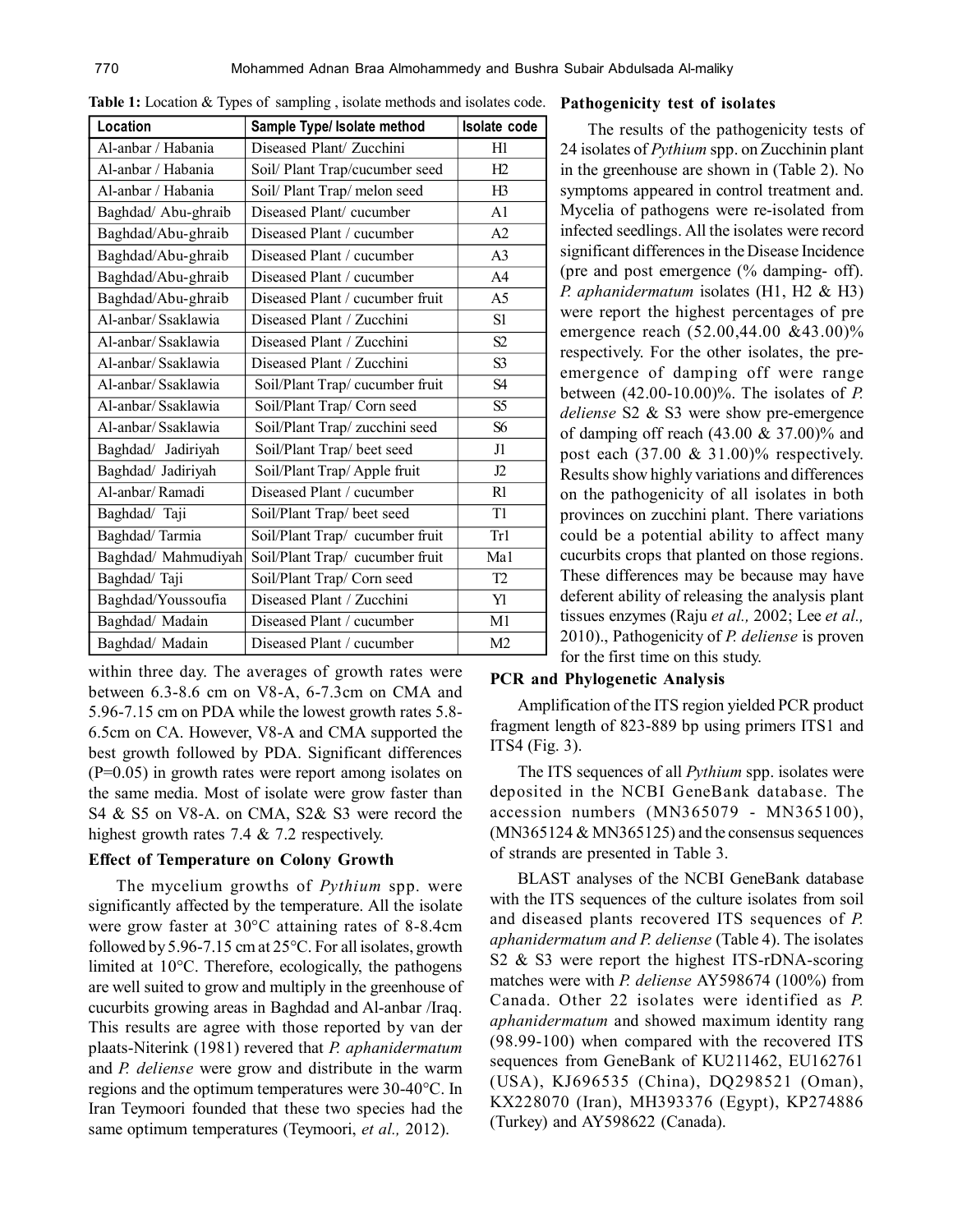| Location            | Sample Type/ Isolate method     | Isolate code   |
|---------------------|---------------------------------|----------------|
| Al-anbar / Habania  | Diseased Plant/ Zucchini        | H1             |
| Al-anbar / Habania  | Soil/ Plant Trap/cucumber seed  | H2             |
| Al-anbar / Habania  | Soil/ Plant Trap/ melon seed    | H3             |
| Baghdad/ Abu-ghraib | Diseased Plant/cucumber         | A <sub>1</sub> |
| Baghdad/Abu-ghraib  | Diseased Plant / cucumber       | A2             |
| Baghdad/Abu-ghraib  | Diseased Plant / cucumber       | A <sub>3</sub> |
| Baghdad/Abu-ghraib  | Diseased Plant / cucumber       | A4             |
| Baghdad/Abu-ghraib  | Diseased Plant / cucumber fruit | A5             |
| Al-anbar/Ssaklawia  | Diseased Plant / Zucchini       | S1             |
| Al-anbar/Ssaklawia  | Diseased Plant / Zucchini       | S2             |
| Al-anbar/ Ssaklawia | Diseased Plant / Zucchini       | S <sub>3</sub> |
| Al-anbar/ Ssaklawia | Soil/Plant Trap/ cucumber fruit | S <sub>4</sub> |
| Al-anbar/Ssaklawia  | Soil/Plant Trap/ Corn seed      | S5             |
| Al-anbar/ Ssaklawia | Soil/Plant Trap/ zucchini seed  | S <sub>6</sub> |
| Baghdad/ Jadiriyah  | Soil/Plant Trap/ beet seed      | J1             |
| Baghdad/ Jadiriyah  | Soil/Plant Trap/ Apple fruit    | J2             |
| Al-anbar/Ramadi     | Diseased Plant / cucumber       | R1             |
| Baghdad/ Taji       | Soil/Plant Trap/ beet seed      | T1             |
| Baghdad/Tarmia      | Soil/Plant Trap/ cucumber fruit | Tr1            |
| Baghdad/ Mahmudiyah | Soil/Plant Trap/ cucumber fruit | Ma1            |
| Baghdad/Taji        | Soil/Plant Trap/ Corn seed      | T2             |
| Baghdad/Youssoufia  | Diseased Plant / Zucchini       | Yl             |
| Baghdad/ Madain     | Diseased Plant / cucumber       | M1             |
| Baghdad/ Madain     | Diseased Plant / cucumber       | M <sub>2</sub> |

**Table 1:** Location & Types of sampling , isolate methods and isolates code. **Pathogenicity test of isolates**

within three day. The averages of growth rates were between 6.3-8.6 cm on V8-A, 6-7.3cm on CMA and 5.96-7.15 cm on PDA while the lowest growth rates 5.8- 6.5cm on CA. However, V8-A and CMA supported the best growth followed by PDA. Significant differences (P=0.05) in growth rates were report among isolates on the same media. Most of isolate were grow faster than S4 & S5 on V8-A. on CMA, S2& S3 were record the highest growth rates 7.4 & 7.2 respectively.

#### **Effect of Temperature on Colony Growth**

The mycelium growths of *Pythium* spp. were significantly affected by the temperature. All the isolate were grow faster at 30°C attaining rates of 8-8.4cm followed by 5.96-7.15 cm at 25°C. For all isolates, growth limited at 10°C. Therefore, ecologically, the pathogens are well suited to grow and multiply in the greenhouse of cucurbits growing areas in Baghdad and Al-anbar /Iraq. This results are agree with those reported by van der plaats-Niterink (1981) revered that *P. aphanidermatum* and *P. deliense* were grow and distribute in the warm regions and the optimum temperatures were 30-40°C. In Iran Teymoori founded that these two species had the same optimum temperatures (Teymoori, *et al.,* 2012).

The results of the pathogenicity tests of 24 isolates of *Pythium* spp. on Zucchinin plant in the greenhouse are shown in (Table 2). No symptoms appeared in control treatment and. Mycelia of pathogens were re-isolated from infected seedlings. All the isolates were record significant differences in the Disease Incidence (pre and post emergence (% damping- off). *P. aphanidermatum* isolates (H1, H2 & H3) were report the highest percentages of pre emergence reach (52.00,44.00 &43.00)% respectively. For the other isolates, the preemergence of damping off were range between (42.00-10.00)%. The isolates of *P. deliense* S2 & S3 were show pre-emergence of damping off reach  $(43.00 \& 37.00)\%$  and post each (37.00 & 31.00)% respectively. Results show highly variations and differences on the pathogenicity of all isolates in both provinces on zucchini plant. There variations could be a potential ability to affect many cucurbits crops that planted on those regions. These differences may be because may have deferent ability of releasing the analysis plant tissues enzymes (Raju *et al.,* 2002; Lee *et al.,* 2010)., Pathogenicity of *P. deliense* is proven for the first time on this study.

# **PCR and Phylogenetic Analysis**

Amplification of the ITS region yielded PCR product fragment length of 823-889 bp using primers ITS1 and ITS4 (Fig. 3).

The ITS sequences of all *Pythium* spp. isolates were deposited in the NCBI GeneBank database. The accession numbers (MN365079 - MN365100),  $(MN365124 \& MN365125)$  and the consensus sequences of strands are presented in Table 3.

BLAST analyses of the NCBI GeneBank database with the ITS sequences of the culture isolates from soil and diseased plants recovered ITS sequences of *P. aphanidermatum and P. deliense* (Table 4). The isolates S2 & S3 were report the highest ITS-rDNA-scoring matches were with *P. deliense* AY598674 (100%) from Canada. Other 22 isolates were identified as *P. aphanidermatum* and showed maximum identity rang (98.99-100) when compared with the recovered ITS sequences from GeneBank of KU211462, EU162761 (USA), KJ696535 (China), DQ298521 (Oman), KX228070 (Iran), MH393376 (Egypt), KP274886 (Turkey) and AY598622 (Canada).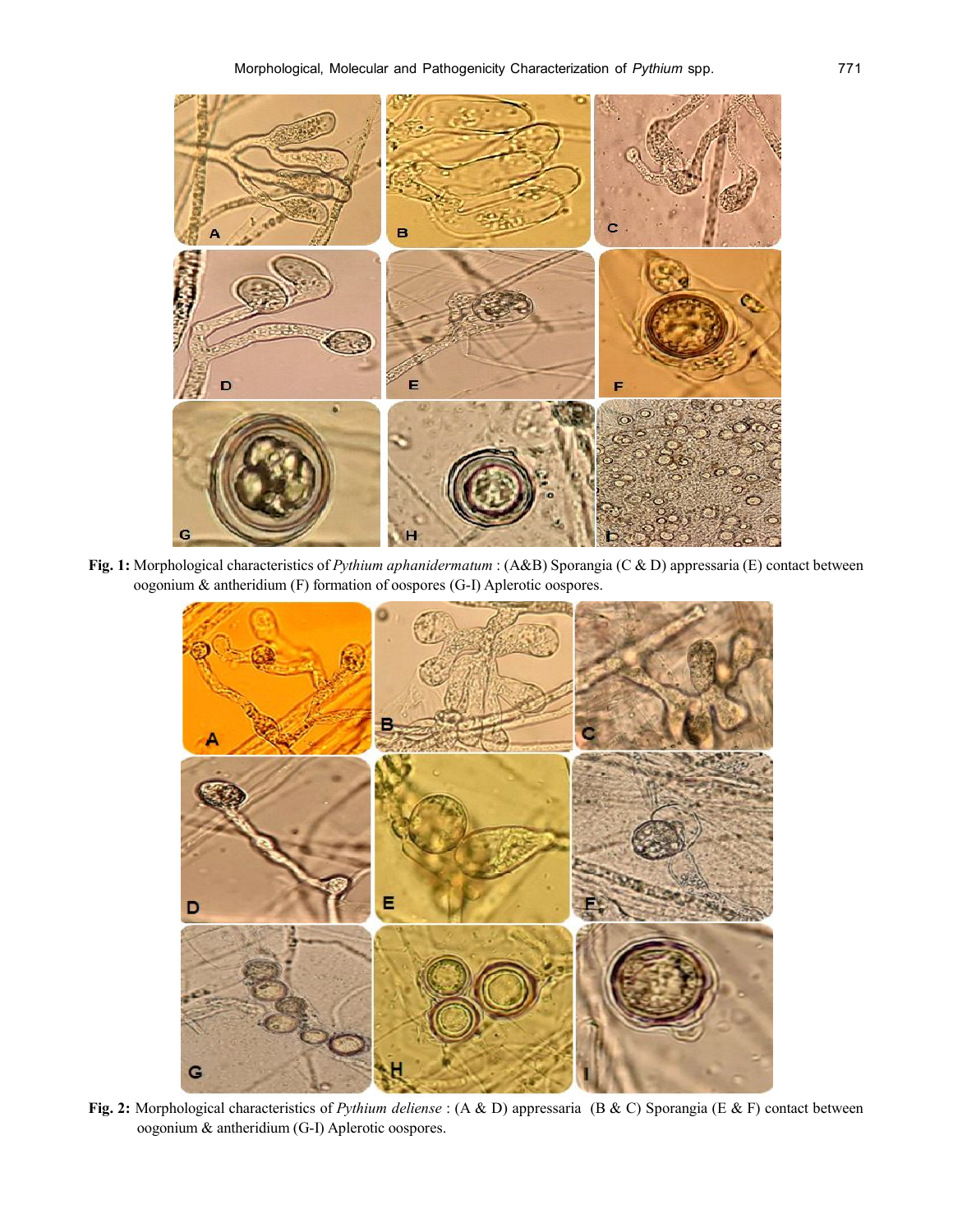

**Fig. 1:** Morphological characteristics of *Pythium aphanidermatum* : (A&B) Sporangia (C & D) appressaria (E) contact between oogonium & antheridium (F) formation of oospores (G-I) Aplerotic oospores.



**Fig. 2:** Morphological characteristics of *Pythium deliense* : (A & D) appressaria (B & C) Sporangia (E & F) contact between oogonium & antheridium (G-I) Aplerotic oospores.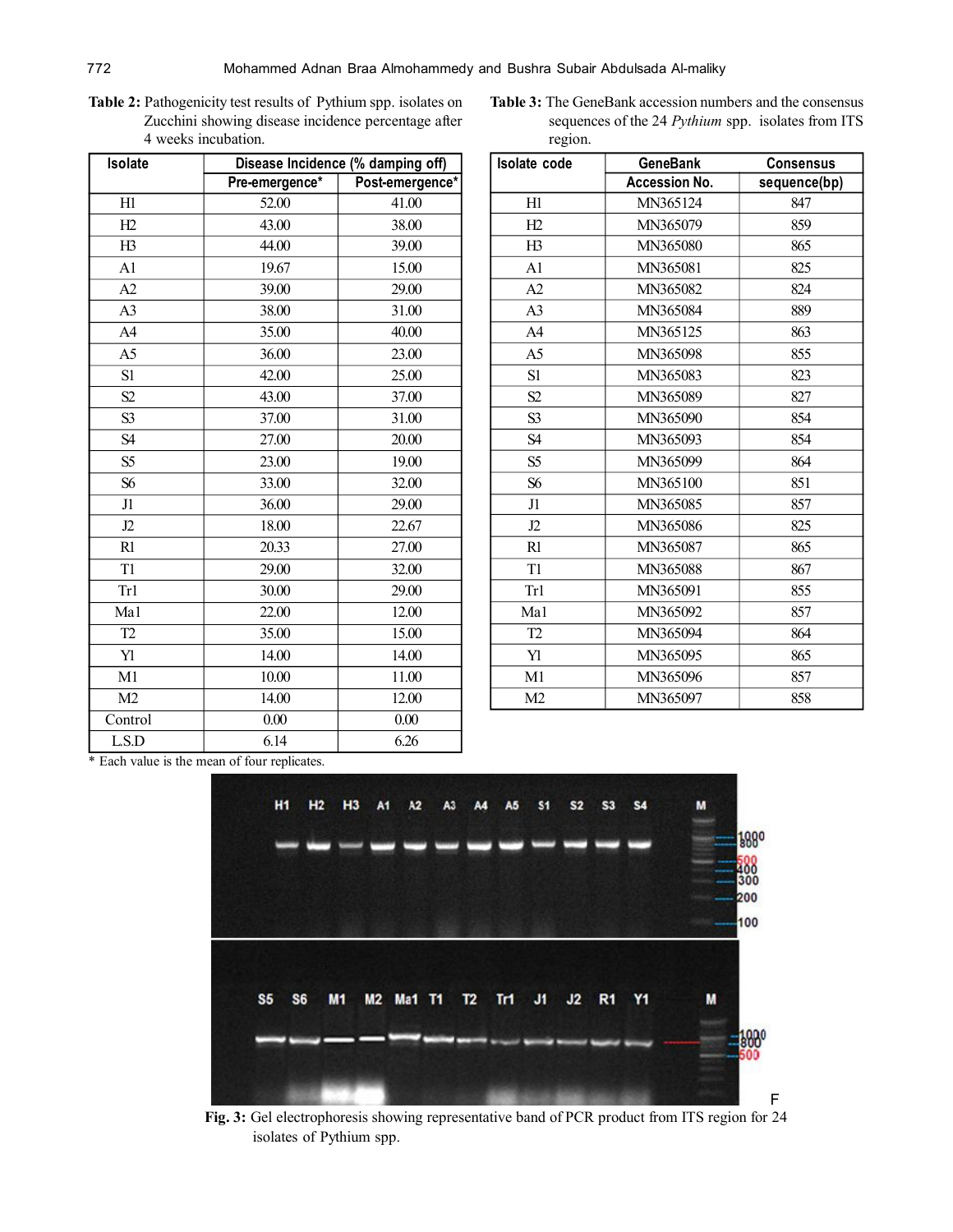**Table 2:** Pathogenicity test results of Pythium spp. isolates on Zucchini showing disease incidence percentage after 4 weeks incubation.

| Isolate        | Disease Incidence (% damping off) |                 |  |
|----------------|-----------------------------------|-----------------|--|
|                | Pre-emergence*                    | Post-emergence* |  |
| H1             | 52.00                             | 41.00           |  |
| H2             | 43.00                             | 38.00           |  |
| H3             | 44.00                             | 39.00           |  |
| A <sub>1</sub> | 19.67                             | 15.00           |  |
| A2             | 39.00                             | 29.00           |  |
| A <sub>3</sub> | 38.00                             | 31.00           |  |
| A <sub>4</sub> | 35.00                             | 40.00           |  |
| A <sub>5</sub> | 36.00                             | 23.00           |  |
| S1             | 42.00                             | 25.00           |  |
| S2             | 43.00                             | 37.00           |  |
| S <sub>3</sub> | 37.00                             | 31.00           |  |
| S <sub>4</sub> | 27.00                             | 20.00           |  |
| S <sub>5</sub> | 23.00                             | 19.00           |  |
| S6             | 33.00                             | 32.00           |  |
| J1             | 36.00                             | 29.00           |  |
| J2             | 18.00                             | 22.67           |  |
| R1             | 20.33                             | 27.00           |  |
| T <sub>1</sub> | 29.00                             | 32.00           |  |
| Tr1            | 30.00                             | 29.00           |  |
| Ma1            | 22.00                             | 12.00           |  |
| T <sub>2</sub> | 35.00                             | 15.00           |  |
| Yl             | 14.00                             | 14.00           |  |
| M1             | 10.00                             | 11.00           |  |
| M <sub>2</sub> | 14.00                             | 12.00           |  |
| Control        | 0.00                              | 0.00            |  |
| LS.D           | 6.14                              | 6.26            |  |

Table 3: The GeneBank accession numbers and the consensus sequences of the 24 *Pythium* spp.isolates from ITS region.

| <b>Isolate code</b> | <b>GeneBank</b>      | <b>Consensus</b> |  |
|---------------------|----------------------|------------------|--|
|                     | <b>Accession No.</b> | sequence(bp)     |  |
| H1                  | MN365124             | 847              |  |
| H2                  | MN365079             | 859              |  |
| H3                  | MN365080             | 865              |  |
| A <sub>1</sub>      | MN365081             | 825              |  |
| A2                  | MN365082             | 824              |  |
| A <sub>3</sub>      | MN365084             | 889              |  |
| A <sub>4</sub>      | MN365125             | 863              |  |
| A <sub>5</sub>      | MN365098             | 855              |  |
| S1                  | MN365083             | 823              |  |
| S2                  | MN365089             | 827              |  |
| S <sub>3</sub>      | MN365090             | 854              |  |
| S4                  | MN365093             | 854              |  |
| S <sub>5</sub>      | MN365099             | 864              |  |
| S6                  | MN365100             | 851              |  |
| J1                  | MN365085             | 857              |  |
| J2                  | MN365086             | 825              |  |
| R1                  | MN365087             | 865              |  |
| T1                  | MN365088             | 867              |  |
| Tr1                 | MN365091             | 855              |  |
| Ma1                 | MN365092             | 857              |  |
| T <sub>2</sub>      | MN365094             | 864              |  |
| Yl                  | MN365095             | 865              |  |
| M1                  | MN365096             | 857              |  |
| M <sub>2</sub>      | MN365097             | 858              |  |

\* Each value is the mean of four replicates.



**Fig. 3:** Gel electrophoresis showing representative band of PCR product from ITS region for 24 isolates of Pythium spp.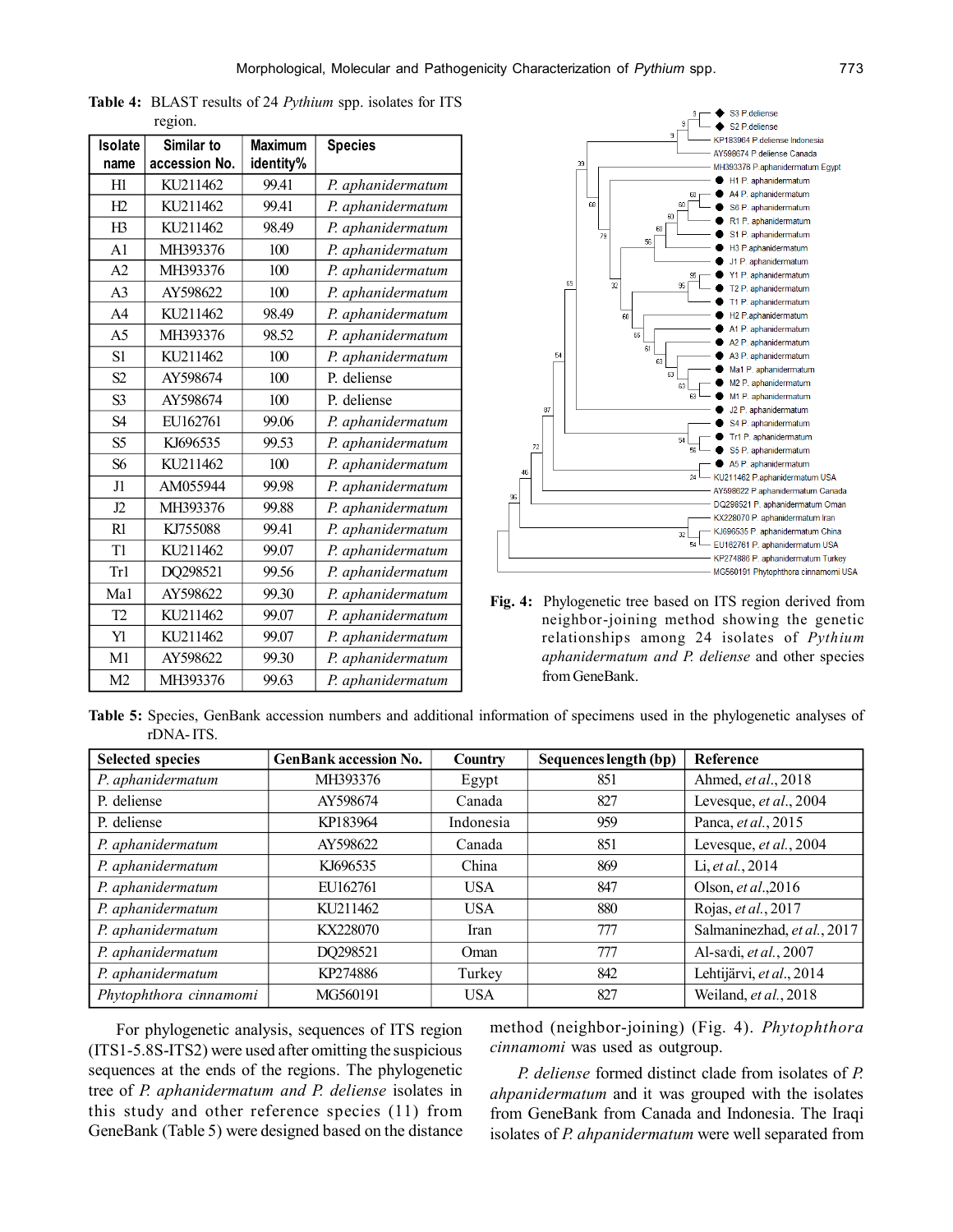| Isolate        | Similar to    | <b>Maximum</b> | <b>Species</b>    |
|----------------|---------------|----------------|-------------------|
| name           | accession No. | identity%      |                   |
| H1             | KU211462      | 99.41          | P. aphanidermatum |
| H2             | KU211462      | 99.41          | P. aphanidermatum |
| H3             | KU211462      | 98.49          | P. aphanidermatum |
| A <sub>1</sub> | MH393376      | 100            | P. aphanidermatum |
| A <sub>2</sub> | MH393376      | 100            | P. aphanidermatum |
| A <sub>3</sub> | AY598622      | 100            | P. aphanidermatum |
| A <sub>4</sub> | KU211462      | 98.49          | P. aphanidermatum |
| A <sub>5</sub> | MH393376      | 98.52          | P. aphanidermatum |
| S1             | KU211462      | 100            | P. aphanidermatum |
| S <sub>2</sub> | AY598674      | 100            | P. deliense       |
| S <sub>3</sub> | AY598674      | 100            | P. deliense       |
| S <sub>4</sub> | EU162761      | 99.06          | P. aphanidermatum |
| S <sub>5</sub> | KJ696535      | 99.53          | P. aphanidermatum |
| S <sub>6</sub> | KU211462      | 100            | P. aphanidermatum |
| J1             | AM055944      | 99.98          | P. aphanidermatum |
| J2             | MH393376      | 99.88          | P. aphanidermatum |
| R1             | KJ755088      | 99.41          | P. aphanidermatum |
| T <sub>1</sub> | KU211462      | 99.07          | P. aphanidermatum |
| Tr1            | DQ298521      | 99.56          | P. aphanidermatum |
| Ma1            | AY598622      | 99.30          | P. aphanidermatum |
| T <sub>2</sub> | KU211462      | 99.07          | P. aphanidermatum |
| Yl             | KU211462      | 99.07          | P. aphanidermatum |
| M1             | AY598622      | 99.30          | P. aphanidermatum |
| M <sub>2</sub> | MH393376      | 99.63          | P. aphanidermatum |

**Table 4:** BLAST results of 24 *Pythium* spp. isolates for ITS region.



**Fig. 4:** Phylogenetic tree based on ITS region derived from neighbor-joining method showing the genetic relationships among 24 isolates of *Pythium aphanidermatum and P. deliense* and other species from GeneBank.

**Table 5:** Species, GenBank accession numbers and additional information of specimens used in the phylogenetic analyses of rDNA- ITS.

| <b>Selected species</b> | <b>GenBank accession No.</b> | Country    | Sequences length (bp) | <b>Reference</b>            |
|-------------------------|------------------------------|------------|-----------------------|-----------------------------|
| P. aphanidermatum       | MH393376                     | Egypt      | 851                   | Ahmed, et al., 2018         |
| P. deliense             | AY598674                     | Canada     | 827                   | Levesque, et al., 2004      |
| P. deliense             | KP183964                     | Indonesia  | 959                   | Panca, et al., 2015         |
| P. aphanidermatum       | AY598622                     | Canada     | 851                   | Levesque, et al., 2004      |
| P. aphanidermatum       | KJ696535                     | China      | 869                   | Li, et al., 2014            |
| P. aphanidermatum       | EU162761                     | <b>USA</b> | 847                   | Olson, et al., 2016         |
| P. aphanidermatum       | KU211462                     | <b>USA</b> | 880                   | Rojas, et al., 2017         |
| P. aphanidermatum       | KX228070                     | Iran       | 777                   | Salmaninezhad, et al., 2017 |
| P. aphanidermatum       | DQ298521                     | Oman       | 777                   | Al-sadi, et al., 2007       |
| P. aphanidermatum       | KP274886                     | Turkey     | 842                   | Lehtijärvi, et al., 2014    |
| Phytophthora cinnamomi  | MG560191                     | <b>USA</b> | 827                   | Weiland, et al., 2018       |

For phylogenetic analysis, sequences of ITS region (ITS1-5.8S-ITS2) were used after omitting the suspicious sequences at the ends of the regions. The phylogenetic tree of *P. aphanidermatum and P. deliense* isolates in this study and other reference species (11) from GeneBank (Table 5) were designed based on the distance method (neighbor-joining) (Fig. 4). *Phytophthora cinnamomi* was used as outgroup.

*P. deliense* formed distinct clade from isolates of *P. ahpanidermatum* and it was grouped with the isolates from GeneBank from Canada and Indonesia. The Iraqi isolates of *P. ahpanidermatum* were well separated from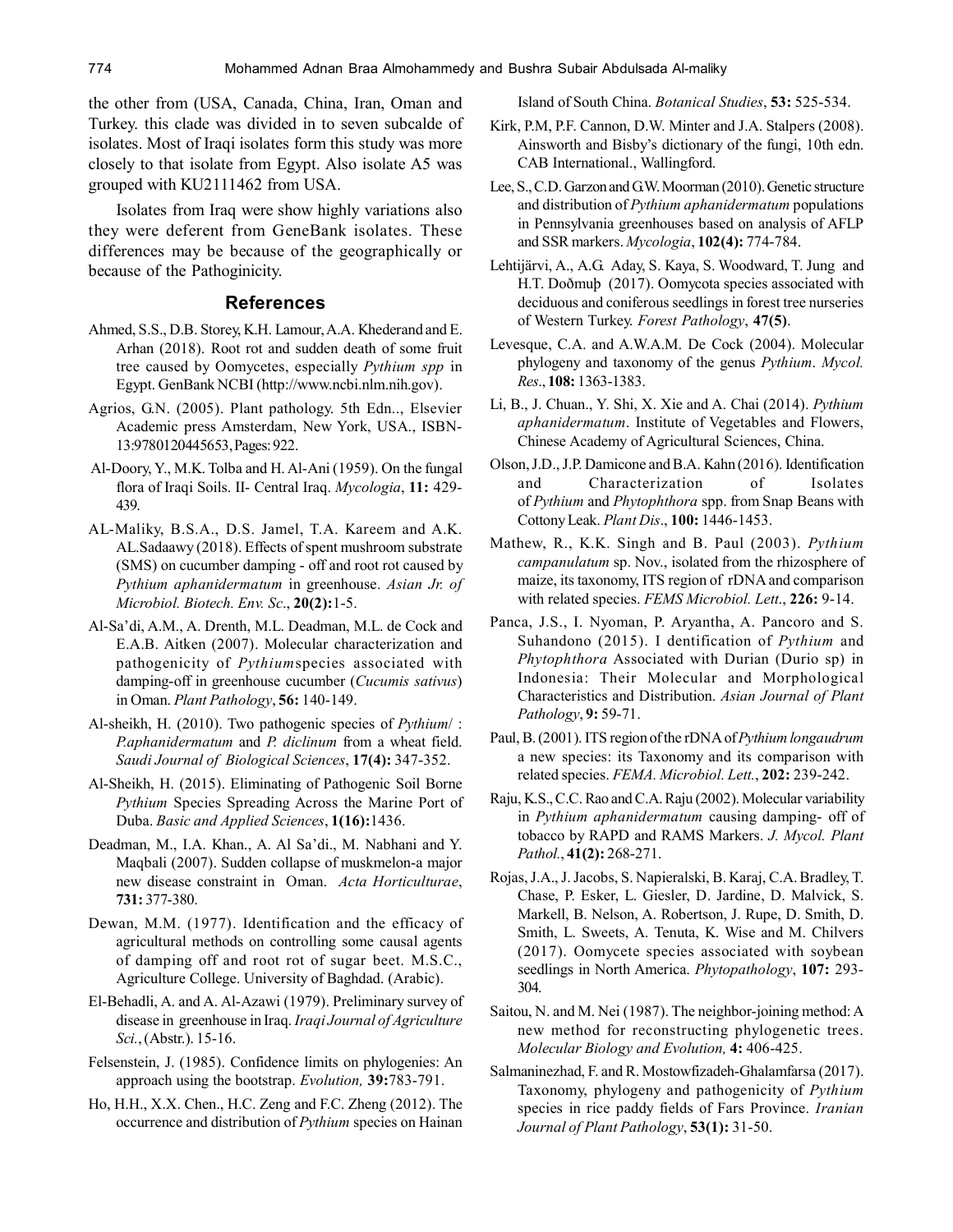the other from (USA, Canada, China, Iran, Oman and Turkey. this clade was divided in to seven subcalde of isolates. Most of Iraqi isolates form this study was more closely to that isolate from Egypt. Also isolate A5 was grouped with KU2111462 from USA.

Isolates from Iraq were show highly variations also they were deferent from GeneBank isolates. These differences may be because of the geographically or because of the Pathoginicity.

#### **References**

- Ahmed, S.S., D.B. Storey, K.H. Lamour, A.A. Khederand and E. Arhan (2018). Root rot and sudden death of some fruit tree caused by Oomycetes, especially *Pythium spp* in Egypt. GenBank NCBI (http://www.ncbi.nlm.nih.gov).
- Agrios, G.N. (2005). Plant pathology. 5th Edn.., Elsevier Academic press Amsterdam, New York, USA., ISBN-13:9780120445653, Pages: 922.
- Al-Doory, Y., M.K. Tolba and H. Al-Ani (1959). On the fungal flora of Iraqi Soils. II- Central Iraq. *Mycologia*, **11:** 429- 439.
- AL-Maliky, B.S.A., D.S. Jamel, T.A. Kareem and A.K. AL.Sadaawy (2018). Effects of spent mushroom substrate (SMS) on cucumber damping - off and root rot caused by *Pythium aphanidermatum* in greenhouse. *Asian Jr. of Microbiol. Biotech. Env. Sc*., **20(2):**1-5.
- Al-Sa'di, A.M., A. Drenth, M.L. Deadman, M.L. de Cock and E.A.B. Aitken (2007). Molecular characterization and pathogenicity of *Pythium*species associated with damping-off in greenhouse cucumber (*Cucumis sativus*) in Oman. *Plant Pathology*, **56:** 140-149.
- Al-sheikh, H. (2010). Two pathogenic species of *Pythium*/ : *P.aphanidermatum* and *P. diclinum* from a wheat field. *Saudi Journal of Biological Sciences*, **17(4):** 347-352.
- Al-Sheikh, H. (2015). Eliminating of Pathogenic Soil Borne *Pythium* Species Spreading Across the Marine Port of Duba. *Basic and Applied Sciences*, **1(16):**1436.
- Deadman, M., I.A. Khan., A. Al Sa'di., M. Nabhani and Y. Maqbali (2007). Sudden collapse of muskmelon-a major new disease constraint in Oman. *Acta Horticulturae*, **731:** 377-380.
- Dewan, M.M. (1977). Identification and the efficacy of agricultural methods on controlling some causal agents of damping off and root rot of sugar beet. M.S.C., Agriculture College. University of Baghdad. (Arabic).
- El-Behadli, A. and A. Al-Azawi (1979). Preliminary survey of disease in greenhouse in Iraq. *Iraqi Journal of Agriculture Sci.*, (Abstr.). 15-16.
- Felsenstein, J. (1985). Confidence limits on phylogenies: An approach using the bootstrap. *Evolution,* **39:**783-791.
- Ho, H.H., X.X. Chen., H.C. Zeng and F.C. Zheng (2012). The occurrence and distribution of *Pythium* species on Hainan

Island of South China. *Botanical Studies*, **53:** 525-534.

- Kirk, P.M, P.F. Cannon, D.W. Minter and J.A. Stalpers (2008). Ainsworth and Bisby's dictionary of the fungi, 10th edn. CAB International., Wallingford.
- Lee, S., C.D. Garzon and G.W. Moorman (2010). Genetic structure and distribution of *Pythium aphanidermatum* populations in Pennsylvania greenhouses based on analysis of AFLP and SSR markers. *Mycologia*, **102(4):** 774-784.
- Lehtijärvi, A., A.G. Aday, S. Kaya, S. Woodward, T. Jung and H.T. Doðmuþ (2017). Oomycota species associated with deciduous and coniferous seedlings in forest tree nurseries of Western Turkey. *Forest Pathology*, **47(5)**.
- Levesque, C.A. and A.W.A.M. De Cock (2004). Molecular phylogeny and taxonomy of the genus *Pythium*. *Mycol. Res*., **108:** 1363-1383.
- Li, B., J. Chuan., Y. Shi, X. Xie and A. Chai (2014). *Pythium aphanidermatum*. Institute of Vegetables and Flowers, Chinese Academy of Agricultural Sciences, China.
- Olson, J.D., J.P. Damicone and B.A. Kahn (2016). Identification and Characterization of Isolates of *Pythium* and *Phytophthora* spp. from Snap Beans with Cottony Leak. *Plant Dis*., **100:** 1446-1453.
- Mathew, R., K.K. Singh and B. Paul (2003). *Pythium campanulatum* sp. Nov., isolated from the rhizosphere of maize, its taxonomy, ITS region of rDNA and comparison with related species. *FEMS Microbiol. Lett*., **226:** 9-14.
- Panca, J.S., I. Nyoman, P. Aryantha, A. Pancoro and S. Suhandono (2015). I dentification of *Pythium* and *Phytophthora* Associated with Durian (Durio sp) in Indonesia: Their Molecular and Morphological Characteristics and Distribution. *Asian Journal of Plant Pathology*, **9:** 59-71.
- Paul, B. (2001). ITS region of the rDNA of *Pythium longaudrum* a new species: its Taxonomy and its comparison with related species. *FEMA. Microbiol. Lett.*, **202:** 239-242.
- Raju, K.S., C.C. Rao and C.A. Raju (2002). Molecular variability in *Pythium aphanidermatum* causing damping- off of tobacco by RAPD and RAMS Markers. *J. Mycol. Plant Pathol.*, **41(2):** 268-271.
- Rojas, J.A., J. Jacobs, S. Napieralski, B. Karaj, C.A. Bradley, T. Chase, P. Esker, L. Giesler, D. Jardine, D. Malvick, S. Markell, B. Nelson, A. Robertson, J. Rupe, D. Smith, D. Smith, L. Sweets, A. Tenuta, K. Wise and M. Chilvers (2017). Oomycete species associated with soybean seedlings in North America. *Phytopathology*, **107:** 293- 304.
- Saitou, N. and M. Nei (1987). The neighbor-joining method: A new method for reconstructing phylogenetic trees. *Molecular Biology and Evolution,* **4:** 406-425.
- Salmaninezhad, F. and R. Mostowfizadeh-Ghalamfarsa (2017). Taxonomy, phylogeny and pathogenicity of *Pythium* species in rice paddy fields of Fars Province. *Iranian Journal of Plant Pathology*, **53(1):** 31-50.